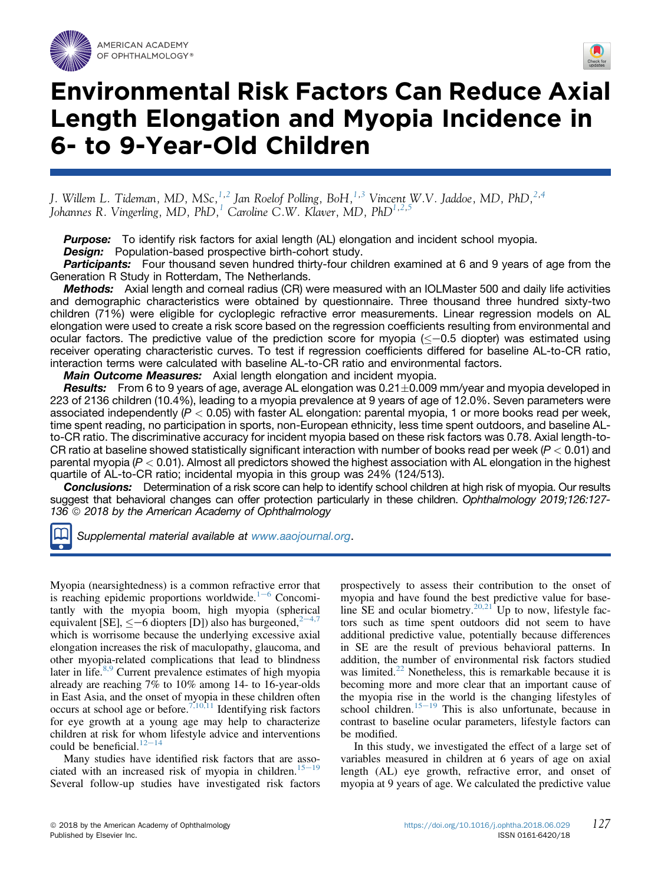



# Environmental Risk Factors Can Reduce Axial Length Elongation and Myopia Incidence in 6- to 9-Year-Old Children

J. Willem L. Tideman, MD, MSc,<sup>1,[2](#page-9-0)</sup> Jan Roelof Polling, BoH,<sup>[1,3](#page-9-0)</sup> Vincent W.V. Jaddoe, MD, PhD,<sup>2,[4](#page-9-0)</sup> Johannes R. Vingerling, MD, PhD,<sup>1</sup> Caroline C.W. Klaver, MD, PhD<sup>1,2,[5](#page-9-0)</sup>

**Purpose:** To identify risk factors for axial length (AL) elongation and incident school myopia.

**Design:** Population-based prospective birth-cohort study.

**Participants:** Four thousand seven hundred thirty-four children examined at 6 and 9 years of age from the Generation R Study in Rotterdam, The Netherlands.

Methods: Axial length and corneal radius (CR) were measured with an IOLMaster 500 and daily life activities and demographic characteristics were obtained by questionnaire. Three thousand three hundred sixty-two children (71%) were eligible for cycloplegic refractive error measurements. Linear regression models on AL elongation were used to create a risk score based on the regression coefficients resulting from environmental and ocular factors. The predictive value of the prediction score for myopia  $(\leq -0.5$  diopter) was estimated using receiver operating characteristic curves. To test if regression coefficients differed for baseline AL-to-CR ratio, interaction terms were calculated with baseline AL-to-CR ratio and environmental factors.

Main Outcome Measures: Axial length elongation and incident myopia.

**Results:** From 6 to 9 years of age, average AL elongation was  $0.21 \pm 0.009$  mm/year and myopia developed in 223 of 2136 children (10.4%), leading to a myopia prevalence at 9 years of age of 12.0%. Seven parameters were associated independently ( $P < 0.05$ ) with faster AL elongation: parental myopia, 1 or more books read per week, time spent reading, no participation in sports, non-European ethnicity, less time spent outdoors, and baseline ALto-CR ratio. The discriminative accuracy for incident myopia based on these risk factors was 0.78. Axial length-to-CR ratio at baseline showed statistically significant interaction with number of books read per week ( $P < 0.01$ ) and parental myopia ( $P < 0.01$ ). Almost all predictors showed the highest association with AL elongation in the highest quartile of AL-to-CR ratio; incidental myopia in this group was 24% (124/513).

Conclusions: Determination of a risk score can help to identify school children at high risk of myopia. Our results suggest that behavioral changes can offer protection particularly in these children. Ophthalmology 2019;126:127-136 © 2018 by the American Academy of Ophthalmology

Supplemental material available at [www.aaojournal.org](http://www.aaojournal.org).

Myopia (nearsightedness) is a common refractive error that is reaching epidemic proportions worldwide. $1-6$  $1-6$  $1-6$  Concomitantly with the myopia boom, high myopia (spherical equivalent [SE],  $\leq$  –6 diopters [D]) also has burgeoned,<sup>[2](#page-8-0)–[4,7](#page-8-0)</sup> which is worrisome because the underlying excessive axial elongation increases the risk of maculopathy, glaucoma, and other myopia-related complications that lead to blindness later in life. $8.9$  Current prevalence estimates of high myopia already are reaching 7% to 10% among 14- to 16-year-olds in East Asia, and the onset of myopia in these children often occurs at school age or before.<sup>[7,10,11](#page-8-0)</sup> Identifying risk factors for eye growth at a young age may help to characterize children at risk for whom lifestyle advice and interventions could be beneficial.<sup>[12](#page-8-0)-[14](#page-8-0)</sup>

Many studies have identified risk factors that are asso-ciated with an increased risk of myopia in children.<sup>[15](#page-8-0)-[19](#page-8-0)</sup> Several follow-up studies have investigated risk factors prospectively to assess their contribution to the onset of myopia and have found the best predictive value for base-line SE and ocular biometry.<sup>[20,21](#page-8-0)</sup> Up to now, lifestyle factors such as time spent outdoors did not seem to have additional predictive value, potentially because differences in SE are the result of previous behavioral patterns. In addition, the number of environmental risk factors studied was limited. $^{22}$  $^{22}$  $^{22}$  Nonetheless, this is remarkable because it is becoming more and more clear that an important cause of the myopia rise in the world is the changing lifestyles of school children.<sup>[15](#page-8-0)-[19](#page-8-0)</sup> This is also unfortunate, because in contrast to baseline ocular parameters, lifestyle factors can be modified.

In this study, we investigated the effect of a large set of variables measured in children at 6 years of age on axial length (AL) eye growth, refractive error, and onset of myopia at 9 years of age. We calculated the predictive value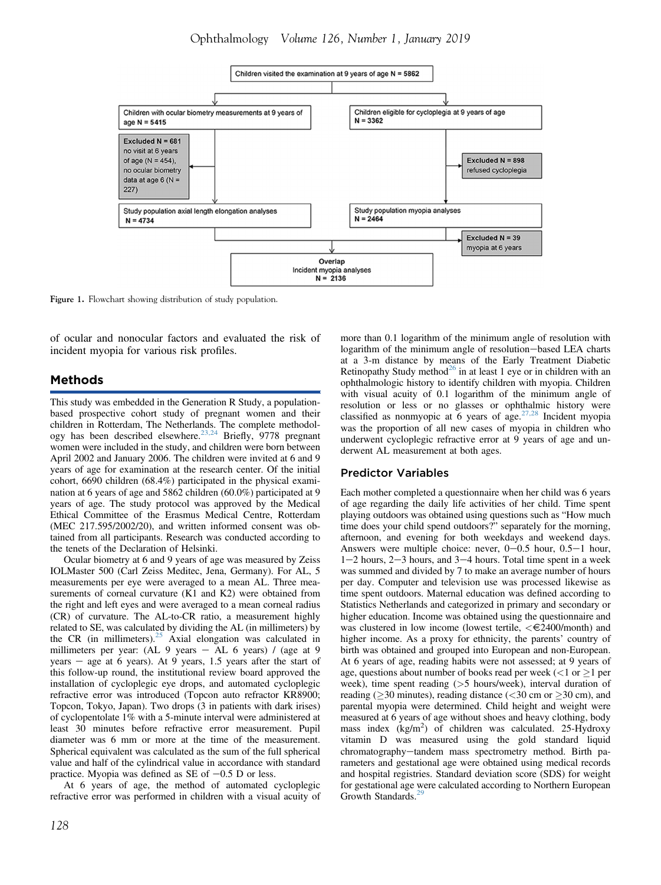<span id="page-1-0"></span>

Figure 1. Flowchart showing distribution of study population.

of ocular and nonocular factors and evaluated the risk of incident myopia for various risk profiles.

## Methods

This study was embedded in the Generation R Study, a populationbased prospective cohort study of pregnant women and their children in Rotterdam, The Netherlands. The complete methodol-<br>ogy has been described elsewhere.<sup>[23,24](#page-8-0)</sup> Briefly, 9778 pregnant women were included in the study, and children were born between April 2002 and January 2006. The children were invited at 6 and 9 years of age for examination at the research center. Of the initial cohort, 6690 children (68.4%) participated in the physical examination at 6 years of age and 5862 children (60.0%) participated at 9 years of age. The study protocol was approved by the Medical Ethical Committee of the Erasmus Medical Centre, Rotterdam (MEC 217.595/2002/20), and written informed consent was obtained from all participants. Research was conducted according to the tenets of the Declaration of Helsinki.

Ocular biometry at 6 and 9 years of age was measured by Zeiss IOLMaster 500 (Carl Zeiss Meditec, Jena, Germany). For AL, 5 measurements per eye were averaged to a mean AL. Three measurements of corneal curvature (K1 and K2) were obtained from the right and left eyes and were averaged to a mean corneal radius (CR) of curvature. The AL-to-CR ratio, a measurement highly related to SE, was calculated by dividing the AL (in millimeters) by the CR (in millimeters).<sup>[25](#page-8-0)</sup> Axial elongation was calculated in millimeters per year:  $(AL 9 years - AL 6 years)$  / (age at 9 years  $-$  age at 6 years). At 9 years, 1.5 years after the start of this follow-up round, the institutional review board approved the installation of cycloplegic eye drops, and automated cycloplegic refractive error was introduced (Topcon auto refractor KR8900; Topcon, Tokyo, Japan). Two drops (3 in patients with dark irises) of cyclopentolate 1% with a 5-minute interval were administered at least 30 minutes before refractive error measurement. Pupil diameter was 6 mm or more at the time of the measurement. Spherical equivalent was calculated as the sum of the full spherical value and half of the cylindrical value in accordance with standard practice. Myopia was defined as SE of  $-0.5$  D or less.

At 6 years of age, the method of automated cycloplegic refractive error was performed in children with a visual acuity of

more than 0.1 logarithm of the minimum angle of resolution with logarithm of the minimum angle of resolution-based LEA charts at a 3-m distance by means of the Early Treatment Diabetic Retinopathy Study method<sup>[26](#page-8-0)</sup> in at least 1 eye or in children with an ophthalmologic history to identify children with myopia. Children with visual acuity of 0.1 logarithm of the minimum angle of resolution or less or no glasses or ophthalmic history were classified as nonmyopic at  $6$  years of age.<sup>[27,28](#page-8-0)</sup> Incident myopia was the proportion of all new cases of myopia in children who underwent cycloplegic refractive error at 9 years of age and underwent AL measurement at both ages.

#### Predictor Variables

Each mother completed a questionnaire when her child was 6 years of age regarding the daily life activities of her child. Time spent playing outdoors was obtained using questions such as "How much time does your child spend outdoors?" separately for the morning, afternoon, and evening for both weekdays and weekend days. Answers were multiple choice: never,  $0-0.5$  hour,  $0.5-1$  hour,  $1-2$  hours,  $2-3$  hours, and  $3-4$  hours. Total time spent in a week was summed and divided by 7 to make an average number of hours per day. Computer and television use was processed likewise as time spent outdoors. Maternal education was defined according to Statistics Netherlands and categorized in primary and secondary or higher education. Income was obtained using the questionnaire and was clustered in low income (lowest tertile,  $\langle \epsilon \rangle$ 2400/month) and higher income. As a proxy for ethnicity, the parents' country of birth was obtained and grouped into European and non-European. At 6 years of age, reading habits were not assessed; at 9 years of age, questions about number of books read per week  $\left($  < 1 or  $>$  1 per week), time spent reading (>5 hours/week), interval duration of reading ( $>$ 30 minutes), reading distance ( $<$ 30 cm or  $>$ 30 cm), and parental myopia were determined. Child height and weight were measured at 6 years of age without shoes and heavy clothing, body mass index (kg/m<sup>2</sup>) of children was calculated. 25-Hydroxy vitamin D was measured using the gold standard liquid chromatography-tandem mass spectrometry method. Birth parameters and gestational age were obtained using medical records and hospital registries. Standard deviation score (SDS) for weight for gestational age were calculated according to Northern European Growth Standards.<sup>2</sup>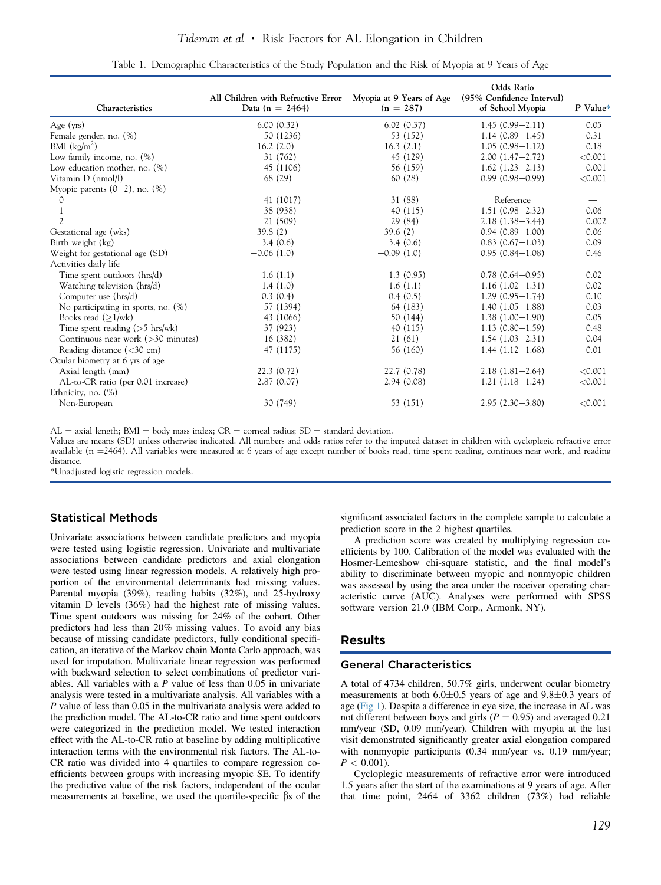<span id="page-2-0"></span>

| Characteristics                          | All Children with Refractive Error<br>Data ( $n = 2464$ ) | Myopia at 9 Years of Age<br>$(n = 287)$ | Odds Ratio<br>(95% Confidence Interval)<br>of School Myopia | P Value* |
|------------------------------------------|-----------------------------------------------------------|-----------------------------------------|-------------------------------------------------------------|----------|
| Age (yrs)                                | 6.00(0.32)                                                | 6.02(0.37)                              | $1.45(0.99 - 2.11)$                                         | 0.05     |
| Female gender, no. (%)                   | 50 (1236)                                                 | 53 (152)                                | $1.14(0.89 - 1.45)$                                         | 0.31     |
| BMI $(kg/m^2)$                           | 16.2(2.0)                                                 | 16.3(2.1)                               | $1.05(0.98 - 1.12)$                                         | 0.18     |
| Low family income, no. (%)               | 31 (762)                                                  | 45 (129)                                | $2.00(1.47 - 2.72)$                                         | < 0.001  |
| Low education mother, no. (%)            | 45 (1106)                                                 | 56 (159)                                | $1.62(1.23 - 2.13)$                                         | 0.001    |
| Vitamin D (nmol/l)                       | 68 (29)                                                   | 60 (28)                                 | $0.99(0.98 - 0.99)$                                         | < 0.001  |
| Myopic parents $(0-2)$ , no. $(\%)$      |                                                           |                                         |                                                             |          |
| $\cup$                                   | 41 (1017)                                                 | 31 (88)                                 | Reference                                                   |          |
|                                          | 38 (938)                                                  | 40(115)                                 | $1.51(0.98 - 2.32)$                                         | 0.06     |
|                                          | 21 (509)                                                  | 29 (84)                                 | $2.18(1.38 - 3.44)$                                         | 0.002    |
| Gestational age (wks)                    | 39.8(2)                                                   | 39.6(2)                                 | $0.94(0.89 - 1.00)$                                         | 0.06     |
| Birth weight (kg)                        | 3.4(0.6)                                                  | 3.4(0.6)                                | $0.83(0.67-1.03)$                                           | 0.09     |
| Weight for gestational age (SD)          | $-0.06(1.0)$                                              | $-0.09(1.0)$                            | $0.95(0.84 - 1.08)$                                         | 0.46     |
| Activities daily life                    |                                                           |                                         |                                                             |          |
| Time spent outdoors (hrs/d)              | 1.6(1.1)                                                  | 1.3(0.95)                               | $0.78(0.64 - 0.95)$                                         | 0.02     |
| Watching television (hrs/d)              | 1.4(1.0)                                                  | 1.6(1.1)                                | $1.16(1.02 - 1.31)$                                         | 0.02     |
| Computer use (hrs/d)                     | 0.3(0.4)                                                  | 0.4(0.5)                                | $1.29(0.95 - 1.74)$                                         | 0.10     |
| No participating in sports, no. (%)      | 57 (1394)                                                 | 64 (183)                                | $1.40(1.05-1.88)$                                           | 0.03     |
| Books read $(>1$ /wk)                    | 43 (1066)                                                 | 50 (144)                                | $1.38(1.00-1.90)$                                           | 0.05     |
| Time spent reading $($ >5 hrs/wk)        | 37 (923)                                                  | 40(115)                                 | $1.13(0.80 - 1.59)$                                         | 0.48     |
| Continuous near work $($ >30 minutes $)$ | 16 (382)                                                  | 21 (61)                                 | $1.54(1.03 - 2.31)$                                         | 0.04     |
| Reading distance $(<30$ cm)              | 47 (1175)                                                 | 56 (160)                                | $1.44(1.12 - 1.68)$                                         | 0.01     |
| Ocular biometry at 6 yrs of age          |                                                           |                                         |                                                             |          |
| Axial length (mm)                        | 22.3(0.72)                                                | 22.7 (0.78)                             | $2.18(1.81 - 2.64)$                                         | < 0.001  |
| AL-to-CR ratio (per 0.01 increase)       | 2.87(0.07)                                                | 2.94(0.08)                              | $1.21(1.18 - 1.24)$                                         | < 0.001  |
| Ethnicity, no. (%)                       |                                                           |                                         |                                                             |          |
| Non-European                             | 30 (749)                                                  | 53 (151)                                | $2.95(2.30-3.80)$                                           | < 0.001  |

Table 1. Demographic Characteristics of the Study Population and the Risk of Myopia at 9 Years of Age

 $AL =$  axial length;  $BMI =$  body mass index;  $CR =$  corneal radius;  $SD =$  standard deviation.

Values are means (SD) unless otherwise indicated. All numbers and odds ratios refer to the imputed dataset in children with cycloplegic refractive error available ( $n = 2464$ ). All variables were measured at 6 years of age except number of books read, time spent reading, continues near work, and reading distance.

\*Unadjusted logistic regression models.

# Statistical Methods

Univariate associations between candidate predictors and myopia were tested using logistic regression. Univariate and multivariate associations between candidate predictors and axial elongation were tested using linear regression models. A relatively high proportion of the environmental determinants had missing values. Parental myopia (39%), reading habits (32%), and 25-hydroxy vitamin D levels (36%) had the highest rate of missing values. Time spent outdoors was missing for 24% of the cohort. Other predictors had less than 20% missing values. To avoid any bias because of missing candidate predictors, fully conditional specification, an iterative of the Markov chain Monte Carlo approach, was used for imputation. Multivariate linear regression was performed with backward selection to select combinations of predictor variables. All variables with a P value of less than 0.05 in univariate analysis were tested in a multivariate analysis. All variables with a P value of less than 0.05 in the multivariate analysis were added to the prediction model. The AL-to-CR ratio and time spent outdoors were categorized in the prediction model. We tested interaction effect with the AL-to-CR ratio at baseline by adding multiplicative interaction terms with the environmental risk factors. The AL-to-CR ratio was divided into 4 quartiles to compare regression coefficients between groups with increasing myopic SE. To identify the predictive value of the risk factors, independent of the ocular measurements at baseline, we used the quartile-specific  $\beta$ s of the

significant associated factors in the complete sample to calculate a prediction score in the 2 highest quartiles.

A prediction score was created by multiplying regression coefficients by 100. Calibration of the model was evaluated with the Hosmer-Lemeshow chi-square statistic, and the final model's ability to discriminate between myopic and nonmyopic children was assessed by using the area under the receiver operating characteristic curve (AUC). Analyses were performed with SPSS software version 21.0 (IBM Corp., Armonk, NY).

# Results

# General Characteristics

A total of 4734 children, 50.7% girls, underwent ocular biometry measurements at both  $6.0 \pm 0.5$  years of age and  $9.8 \pm 0.3$  years of age ([Fig 1](#page-1-0)). Despite a difference in eye size, the increase in AL was not different between boys and girls ( $P = 0.95$ ) and averaged 0.21 mm/year (SD, 0.09 mm/year). Children with myopia at the last visit demonstrated significantly greater axial elongation compared with nonmyopic participants (0.34 mm/year vs. 0.19 mm/year;  $P < 0.001$ ).

Cycloplegic measurements of refractive error were introduced 1.5 years after the start of the examinations at 9 years of age. After that time point, 2464 of 3362 children (73%) had reliable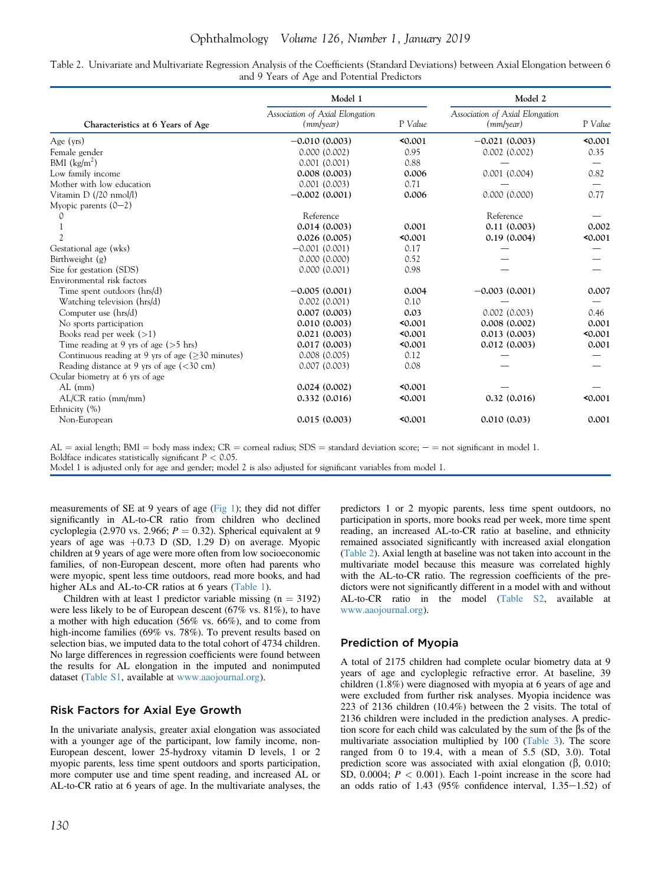| Table 2. Univariate and Multivariate Regression Analysis of the Coefficients (Standard Deviations) between Axial Elongation between 6 |  |
|---------------------------------------------------------------------------------------------------------------------------------------|--|
| and 9 Years of Age and Potential Predictors                                                                                           |  |

|                                                     | Model 1                         | Model 2 |                                 |         |
|-----------------------------------------------------|---------------------------------|---------|---------------------------------|---------|
|                                                     | Association of Axial Elongation |         | Association of Axial Elongation |         |
| Characteristics at 6 Years of Age                   | $(mm/\gamma ear)$               | P Value | $(mm/\gamma ear)$               | P Value |
| Age $(yrs)$                                         | $-0.010(0.003)$                 | 50.001  | $-0.021(0.003)$                 | 50.001  |
| Female gender                                       | 0.000(0.002)                    | 0.95    | 0.002(0.002)                    | 0.35    |
| BMI $(kg/m2)$                                       | 0.001(0.001)                    | 0.88    |                                 |         |
| Low family income                                   | 0.008(0.003)                    | 0.006   | 0.001(0.004)                    | 0.82    |
| Mother with low education                           | 0.001(0.003)                    | 0.71    |                                 |         |
| Vitamin D (/20 nmol/l)                              | $-0.002(0.001)$                 | 0.006   | 0.000(0.000)                    | 0.77    |
| Myopic parents $(0-2)$                              |                                 |         |                                 |         |
| 0                                                   | Reference                       |         | Reference                       |         |
|                                                     | 0.014(0.003)                    | 0.001   | 0.11(0.003)                     | 0.002   |
| $\mathcal{L}$                                       | 0.026(0.005)                    | 50.001  | 0.19(0.004)                     | 50.001  |
| Gestational age (wks)                               | $-0.001(0.001)$                 | 0.17    |                                 |         |
| Birthweight (g)                                     | 0.000(0.000)                    | 0.52    |                                 |         |
| Size for gestation (SDS)                            | 0.000(0.001)                    | 0.98    |                                 |         |
| Environmental risk factors                          |                                 |         |                                 |         |
| Time spent outdoors (hrs/d)                         | $-0.005(0.001)$                 | 0.004   | $-0.003(0.001)$                 | 0.007   |
| Watching television (hrs/d)                         | 0.002(0.001)                    | 0.10    |                                 |         |
| Computer use (hrs/d)                                | 0.007(0.003)                    | 0.03    | 0.002(0.003)                    | 0.46    |
| No sports participation                             | 0.010(0.003)                    | 50.001  | 0.008(0.002)                    | 0.001   |
| Books read per week $(>1)$                          | 0.021(0.003)                    | 50.001  | 0.013(0.003)                    | 50.001  |
| Time reading at 9 yrs of age $($ >5 hrs)            | 0.017(0.003)                    | 50.001  | 0.012(0.003)                    | 0.001   |
| Continuous reading at 9 yrs of age $($ >30 minutes) | 0.008(0.005)                    | 0.12    |                                 |         |
| Reading distance at 9 yrs of age $(<30 \text{ cm})$ | 0.007(0.003)                    | 0.08    |                                 |         |
| Ocular biometry at 6 yrs of age                     |                                 |         |                                 |         |
| $AL$ (mm)                                           | 0.024(0.002)                    | 50.001  |                                 |         |
| AL/CR ratio (mm/mm)                                 | 0.332(0.016)                    | 50.001  | 0.32(0.016)                     | 50.001  |
| Ethnicity (%)                                       |                                 |         |                                 |         |
| Non-European                                        | 0.015(0.003)                    | 50.001  | 0.010(0.03)                     | 0.001   |

 $AL =$  axial length; BMI  $=$  body mass index;  $CR =$  corneal radius; SDS  $=$  standard deviation score;  $- =$  not significant in model 1. Boldface indicates statistically significant  $P < 0.05$ .

Model 1 is adjusted only for age and gender; model 2 is also adjusted for significant variables from model 1.

measurements of SE at 9 years of age [\(Fig 1\)](#page-1-0); they did not differ significantly in AL-to-CR ratio from children who declined cycloplegia (2.970 vs. 2.966;  $P = 0.32$ ). Spherical equivalent at 9 years of age was  $+0.73$  D (SD, 1.29 D) on average. Myopic children at 9 years of age were more often from low socioeconomic families, of non-European descent, more often had parents who were myopic, spent less time outdoors, read more books, and had higher ALs and AL-to-CR ratios at 6 years [\(Table 1](#page-2-0)).

Children with at least 1 predictor variable missing  $(n = 3192)$ were less likely to be of European descent (67% vs. 81%), to have a mother with high education (56% vs. 66%), and to come from high-income families (69% vs. 78%). To prevent results based on selection bias, we imputed data to the total cohort of 4734 children. No large differences in regression coefficients were found between the results for AL elongation in the imputed and nonimputed dataset ([Table S1](#page-8-0), available at [www.aaojournal.org\)](http://www.aaojournal.org).

#### Risk Factors for Axial Eye Growth

In the univariate analysis, greater axial elongation was associated with a younger age of the participant, low family income, non-European descent, lower 25-hydroxy vitamin D levels, 1 or 2 myopic parents, less time spent outdoors and sports participation, more computer use and time spent reading, and increased AL or AL-to-CR ratio at 6 years of age. In the multivariate analyses, the

predictors 1 or 2 myopic parents, less time spent outdoors, no participation in sports, more books read per week, more time spent reading, an increased AL-to-CR ratio at baseline, and ethnicity remained associated significantly with increased axial elongation (Table 2). Axial length at baseline was not taken into account in the multivariate model because this measure was correlated highly with the AL-to-CR ratio. The regression coefficients of the predictors were not significantly different in a model with and without AL-to-CR ratio in the model ([Table S2,](#page-8-0) available at [www.aaojournal.org\)](http://www.aaojournal.org).

#### Prediction of Myopia

A total of 2175 children had complete ocular biometry data at 9 years of age and cycloplegic refractive error. At baseline, 39 children (1.8%) were diagnosed with myopia at 6 years of age and were excluded from further risk analyses. Myopia incidence was 223 of 2136 children (10.4%) between the 2 visits. The total of 2136 children were included in the prediction analyses. A prediction score for each child was calculated by the sum of the  $\beta$ s of the multivariate association multiplied by 100 ([Table 3\)](#page-4-0). The score ranged from 0 to 19.4, with a mean of 5.5 (SD, 3.0). Total prediction score was associated with axial elongation  $(\beta, 0.010;$ SD, 0.0004;  $P < 0.001$ ). Each 1-point increase in the score had an odds ratio of  $1.43$  (95% confidence interval,  $1.35-1.52$ ) of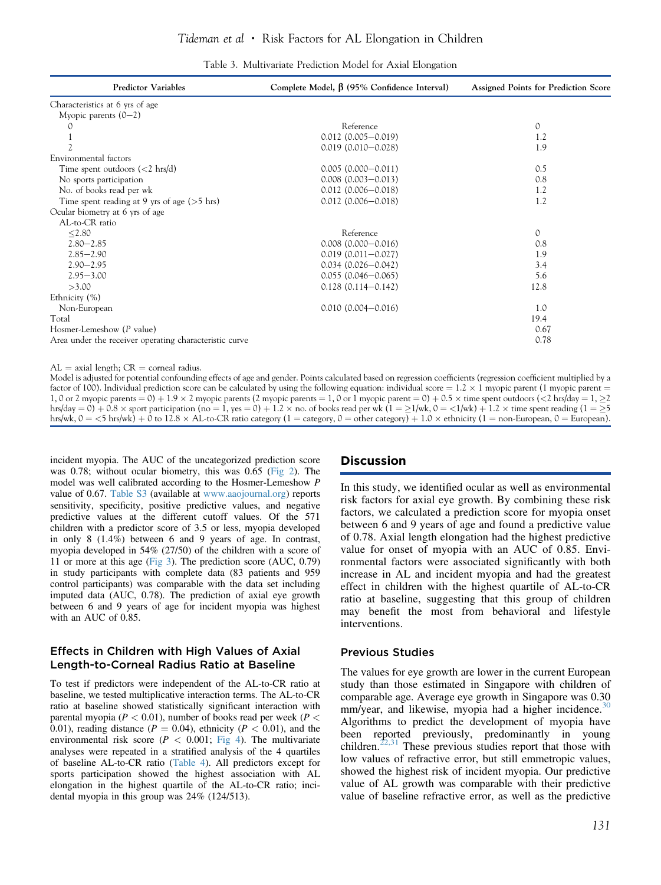|  |  |  |  |  |  |  |  |  | Table 3. Multivariate Prediction Model for Axial Elongation |
|--|--|--|--|--|--|--|--|--|-------------------------------------------------------------|
|--|--|--|--|--|--|--|--|--|-------------------------------------------------------------|

<span id="page-4-0"></span>

| <b>Predictor Variables</b>                                   | Complete Model, $\beta$ (95% Confidence Interval) | Assigned Points for Prediction Score |  |
|--------------------------------------------------------------|---------------------------------------------------|--------------------------------------|--|
| Characteristics at 6 yrs of age                              |                                                   |                                      |  |
| Myopic parents $(0-2)$                                       |                                                   |                                      |  |
|                                                              | Reference                                         | 0                                    |  |
|                                                              | $0.012$ (0.005-0.019)                             | 1.2                                  |  |
| $\mathcal{D}$                                                | $0.019(0.010 - 0.028)$                            | 1.9                                  |  |
| Environmental factors                                        |                                                   |                                      |  |
| Time spent outdoors $\left(\frac{2}{2} \text{ hrs/d}\right)$ | $0.005(0.000 - 0.011)$                            | 0.5                                  |  |
| No sports participation                                      | $0.008$ $(0.003 - 0.013)$                         | 0.8                                  |  |
| No. of books read per wk                                     | $0.012$ (0.006-0.018)                             | 1.2                                  |  |
| Time spent reading at 9 yrs of age $($ >5 hrs)               | $0.012$ $(0.006 - 0.018)$                         | 1.2                                  |  |
| Ocular biometry at 6 yrs of age                              |                                                   |                                      |  |
| AL-to-CR ratio                                               |                                                   |                                      |  |
| < 2.80                                                       | Reference                                         | $\Omega$                             |  |
| $2.80 - 2.85$                                                | $0.008$ $(0.000 - 0.016)$                         | 0.8                                  |  |
| $2.85 - 2.90$                                                | $0.019(0.011 - 0.027)$                            | 1.9                                  |  |
| $2.90 - 2.95$                                                | $0.034(0.026 - 0.042)$                            | 3.4                                  |  |
| $2.95 - 3.00$                                                | $0.055(0.046 - 0.065)$                            | 5.6                                  |  |
| >3.00                                                        | $0.128(0.114 - 0.142)$                            | 12.8                                 |  |
| Ethnicity (%)                                                |                                                   |                                      |  |
| Non-European                                                 | $0.010(0.004 - 0.016)$                            | 1.0                                  |  |
| Total                                                        |                                                   | 19.4                                 |  |
| Hosmer-Lemeshow (P value)                                    |                                                   | 0.67                                 |  |
| Area under the receiver operating characteristic curve       |                                                   | 0.78                                 |  |

 $AL = axial length$ ;  $CR = corneal radius$ .

Model is adjusted for potential confounding effects of age and gender. Points calculated based on regression coefficients (regression coefficient multiplied by a factor of 100). Individual prediction score can be calculated by using the following equation: individual score =  $1.2 \times 1$  myopic parent (1 myopic parent = 1, 0 or 2 myopic parents  $= 0$ )  $+ 1.9 \times 2$  myopic parents (2 myopic parents  $= 1, 0$  or 1 myopic parent  $= 0$ )  $+ 0.5 \times$  time spent outdoors (<2 hrs/day  $= 1, \ge 2$ hrs/day =  $0$ ) + 0.8  $\times$  sport participation (no = 1, yes = 0) + 1.2  $\times$  no. of books read per wk  $(1 = \geq 1$ /wk,  $0 = \langle 1/wk \rangle + 1.2 \times$  time spent reading  $(1 = \geq 5$ hrs/wk,  $0 = 5$  hrs/wk) + 0 to 12.8  $\times$  AL-to-CR ratio category (1 = category, 0 = other category) + 1.0  $\times$  ethnicity (1 = non-European, 0 = European).

incident myopia. The AUC of the uncategorized prediction score was 0.78; without ocular biometry, this was 0.65 ([Fig 2](#page-5-0)). The model was well calibrated according to the Hosmer-Lemeshow P value of 0.67. [Table S3](#page-8-0) (available at [www.aaojournal.org](http://www.aaojournal.org)) reports sensitivity, specificity, positive predictive values, and negative predictive values at the different cutoff values. Of the 571 children with a predictor score of 3.5 or less, myopia developed in only 8 (1.4%) between 6 and 9 years of age. In contrast, myopia developed in 54% (27/50) of the children with a score of 11 or more at this age [\(Fig 3\)](#page-6-0). The prediction score (AUC, 0.79) in study participants with complete data (83 patients and 959 control participants) was comparable with the data set including imputed data (AUC, 0.78). The prediction of axial eye growth between 6 and 9 years of age for incident myopia was highest with an AUC of 0.85.

### Effects in Children with High Values of Axial Length-to-Corneal Radius Ratio at Baseline

To test if predictors were independent of the AL-to-CR ratio at baseline, we tested multiplicative interaction terms. The AL-to-CR ratio at baseline showed statistically significant interaction with parental myopia ( $P < 0.01$ ), number of books read per week ( $P <$ 0.01), reading distance ( $P = 0.04$ ), ethnicity ( $P < 0.01$ ), and the environmental risk score ( $P < 0.001$ ; [Fig 4\)](#page-6-0). The multivariate analyses were repeated in a stratified analysis of the 4 quartiles of baseline AL-to-CR ratio ([Table 4\)](#page-7-0). All predictors except for sports participation showed the highest association with AL elongation in the highest quartile of the AL-to-CR ratio; incidental myopia in this group was 24% (124/513).

#### **Discussion**

In this study, we identified ocular as well as environmental risk factors for axial eye growth. By combining these risk factors, we calculated a prediction score for myopia onset between 6 and 9 years of age and found a predictive value of 0.78. Axial length elongation had the highest predictive value for onset of myopia with an AUC of 0.85. Environmental factors were associated significantly with both increase in AL and incident myopia and had the greatest effect in children with the highest quartile of AL-to-CR ratio at baseline, suggesting that this group of children may benefit the most from behavioral and lifestyle interventions.

#### Previous Studies

The values for eye growth are lower in the current European study than those estimated in Singapore with children of comparable age. Average eye growth in Singapore was 0.30 mm/year, and likewise, myopia had a higher incidence.<sup>[30](#page-8-0)</sup> Algorithms to predict the development of myopia have been reported previously, predominantly in young children.<sup>[22,31](#page-8-0)</sup> These previous studies report that those with low values of refractive error, but still emmetropic values, showed the highest risk of incident myopia. Our predictive value of AL growth was comparable with their predictive value of baseline refractive error, as well as the predictive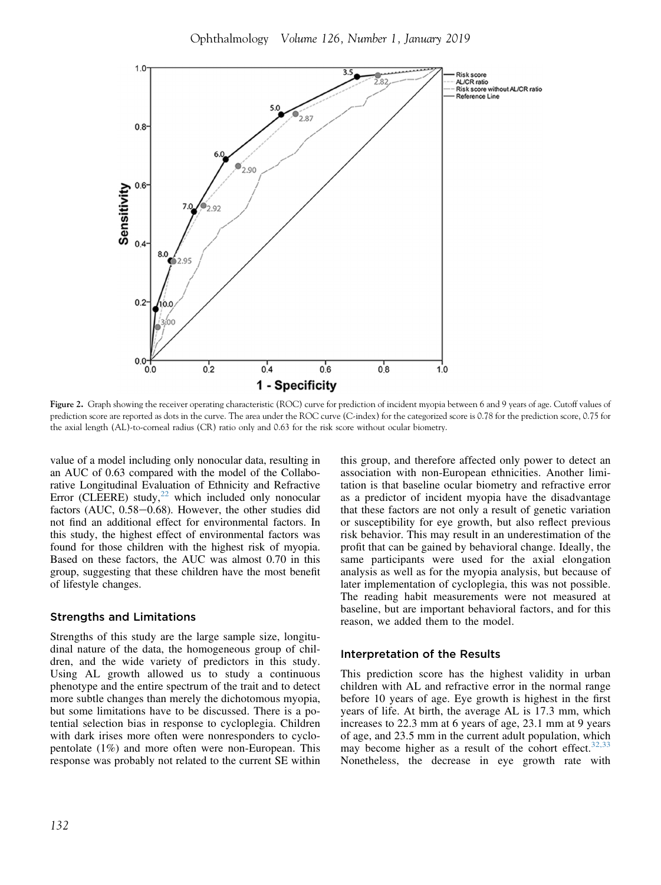<span id="page-5-0"></span>

Figure 2. Graph showing the receiver operating characteristic (ROC) curve for prediction of incident myopia between 6 and 9 years of age. Cutoff values of prediction score are reported as dots in the curve. The area under the ROC curve (C-index) for the categorized score is 0.78 for the prediction score, 0.75 for the axial length (AL)-to-corneal radius (CR) ratio only and 0.63 for the risk score without ocular biometry.

value of a model including only nonocular data, resulting in an AUC of 0.63 compared with the model of the Collaborative Longitudinal Evaluation of Ethnicity and Refractive Error (CLEERE) study, $^{22}$  $^{22}$  $^{22}$  which included only nonocular factors (AUC,  $0.58-0.68$ ). However, the other studies did not find an additional effect for environmental factors. In this study, the highest effect of environmental factors was found for those children with the highest risk of myopia. Based on these factors, the AUC was almost 0.70 in this group, suggesting that these children have the most benefit of lifestyle changes.

#### Strengths and Limitations

Strengths of this study are the large sample size, longitudinal nature of the data, the homogeneous group of children, and the wide variety of predictors in this study. Using AL growth allowed us to study a continuous phenotype and the entire spectrum of the trait and to detect more subtle changes than merely the dichotomous myopia, but some limitations have to be discussed. There is a potential selection bias in response to cycloplegia. Children with dark irises more often were nonresponders to cyclopentolate (1%) and more often were non-European. This response was probably not related to the current SE within

tation is that baseline ocular biometry and refractive error as a predictor of incident myopia have the disadvantage that these factors are not only a result of genetic variation or susceptibility for eye growth, but also reflect previous risk behavior. This may result in an underestimation of the profit that can be gained by behavioral change. Ideally, the same participants were used for the axial elongation analysis as well as for the myopia analysis, but because of later implementation of cycloplegia, this was not possible. The reading habit measurements were not measured at baseline, but are important behavioral factors, and for this reason, we added them to the model. Interpretation of the Results

this group, and therefore affected only power to detect an association with non-European ethnicities. Another limi-

This prediction score has the highest validity in urban children with AL and refractive error in the normal range before 10 years of age. Eye growth is highest in the first years of life. At birth, the average AL is 17.3 mm, which increases to 22.3 mm at 6 years of age, 23.1 mm at 9 years of age, and 23.5 mm in the current adult population, which may become higher as a result of the cohort effect.  $32,33$ Nonetheless, the decrease in eye growth rate with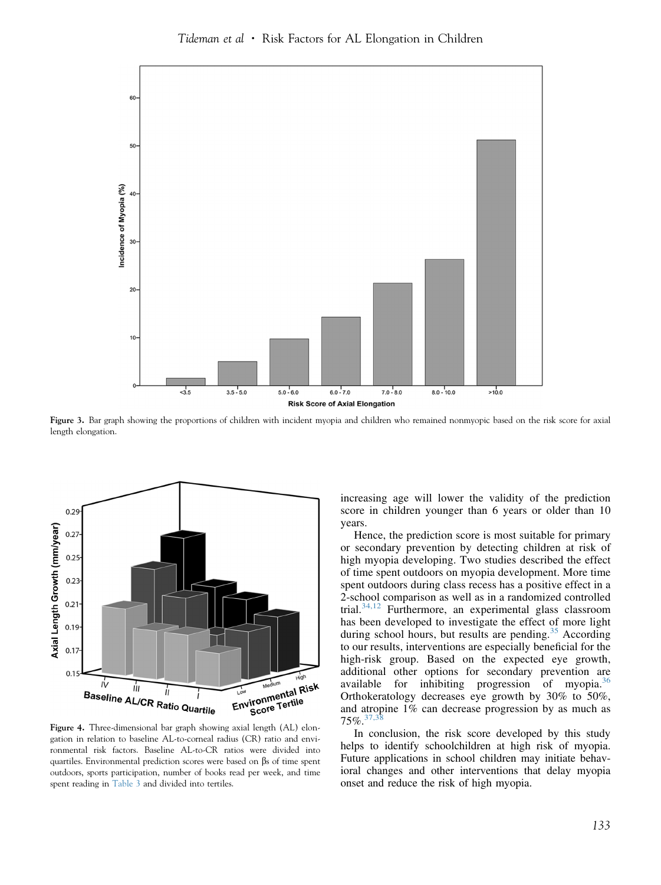<span id="page-6-0"></span>

Figure 3. Bar graph showing the proportions of children with incident myopia and children who remained nonmyopic based on the risk score for axial length elongation.



Figure 4. Three-dimensional bar graph showing axial length (AL) elongation in relation to baseline AL-to-corneal radius (CR) ratio and environmental risk factors. Baseline AL-to-CR ratios were divided into quartiles. Environmental prediction scores were based on  $\beta$ s of time spent outdoors, sports participation, number of books read per week, and time spent reading in [Table 3](#page-4-0) and divided into tertiles.

increasing age will lower the validity of the prediction score in children younger than 6 years or older than 10 years.

Hence, the prediction score is most suitable for primary or secondary prevention by detecting children at risk of high myopia developing. Two studies described the effect of time spent outdoors on myopia development. More time spent outdoors during class recess has a positive effect in a 2-school comparison as well as in a randomized controlled trial.<sup>34,12</sup> Furthermore, an experimental glass classroom Furthermore, an experimental glass classroom has been developed to investigate the effect of more light during school hours, but results are pending. $35$  According to our results, interventions are especially beneficial for the high-risk group. Based on the expected eye growth, additional other options for secondary prevention are available for inhibiting progression of myopia.<sup>[36](#page-8-0)</sup> Orthokeratology decreases eye growth by 30% to 50%, and atropine 1% can decrease progression by as much as  $75\%$ <sup>3</sup>

In conclusion, the risk score developed by this study helps to identify schoolchildren at high risk of myopia. Future applications in school children may initiate behavioral changes and other interventions that delay myopia onset and reduce the risk of high myopia.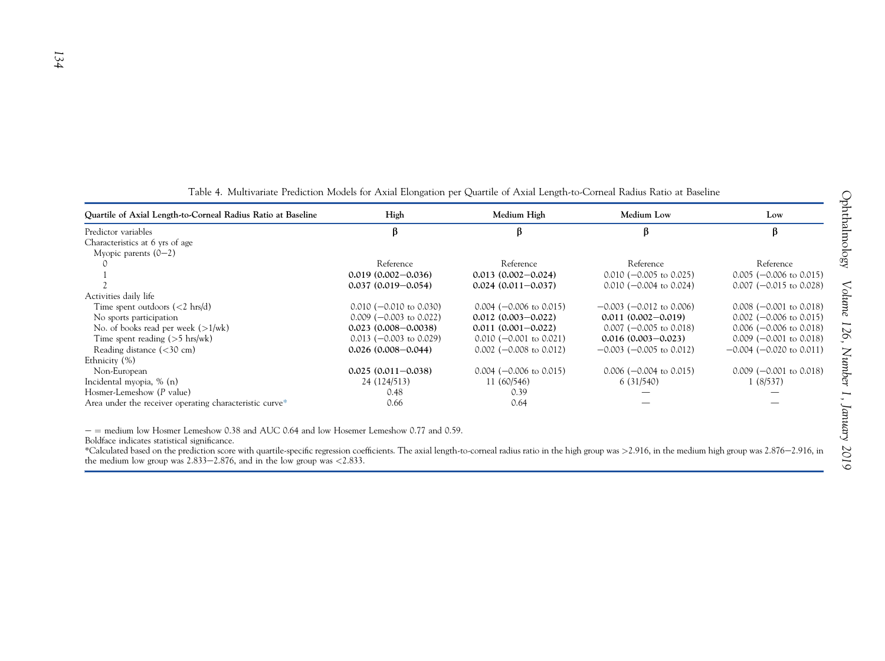| Low                                                                                                                                            |  |  |
|------------------------------------------------------------------------------------------------------------------------------------------------|--|--|
| ß                                                                                                                                              |  |  |
| Reference<br>$5(-0.006 \text{ to } 0.015)$<br>7 (-0.015 to 0.028)                                                                              |  |  |
| 8 (-0.001 to 0.018)<br>$2(-0.006 \text{ to } 0.015)$<br>$6(-0.006 \text{ to } 0.018)$<br>9 (-0.001 to 0.018)<br>$4 (-0.020 \text{ to } 0.011)$ |  |  |
| 9 (-0.001 to 0.018)<br>1(8/537)                                                                                                                |  |  |
| $_{\text{max}}$ 2.876-2.916 in                                                                                                                 |  |  |

Table 4. Multivariate Prediction Models for Axial Elongation per Quartile of Axial Length-to-Corneal Radius Ratio at Baseline

<span id="page-7-0"></span>

| Quartile of Axial Length-to-Corneal Radius Ratio at Baseline        | High                         | Medium High               | Medium Low                    | Low                           |
|---------------------------------------------------------------------|------------------------------|---------------------------|-------------------------------|-------------------------------|
| Predictor variables                                                 |                              |                           |                               | ß                             |
| Characteristics at 6 yrs of age                                     |                              |                           |                               |                               |
| Myopic parents $(0-2)$                                              |                              |                           |                               |                               |
|                                                                     | Reference                    | Reference                 | Reference                     | Reference                     |
|                                                                     | $0.019(0.002 - 0.036)$       | $0.013(0.002 - 0.024)$    | $0.010$ (-0.005 to 0.025)     | $0.005$ ( $-0.006$ to 0.015)  |
|                                                                     | $0.037(0.019 - 0.054)$       | $0.024(0.011 - 0.037)$    | $0.010$ (-0.004 to 0.024)     | $0.007$ (-0.015 to 0.028)     |
| Activities daily life                                               |                              |                           |                               |                               |
| Time spent outdoors $\left(\langle 2 \text{ hrs/d} \right)$         | $0.010$ (-0.010 to 0.030)    | $0.004$ (-0.006 to 0.015) | $-0.003$ ( $-0.012$ to 0.006) | $0.008$ ( $-0.001$ to 0.018)  |
| No sports participation                                             | $0.009$ ( $-0.003$ to 0.022) | $0.012(0.003 - 0.022)$    | $0.011(0.002 - 0.019)$        | $0.002$ (-0.006 to 0.015)     |
| No. of books read per week $(>1$ /wk)                               | $0.023(0.008 - 0.0038)$      | $0.011(0.001 - 0.022)$    | $0.007$ (-0.005 to 0.018)     | $0.006$ ( $-0.006$ to 0.018)  |
| Time spent reading $($ >5 hrs/wk $)$                                | $0.013$ (-0.003 to 0.029)    | $0.010$ (-0.001 to 0.021) | $0.016(0.003 - 0.023)$        | $0.009$ ( $-0.001$ to 0.018)  |
| Reading distance $(<30$ cm)                                         | $0.026(0.008 - 0.044)$       | $0.002$ (-0.008 to 0.012) | $-0.003$ ( $-0.005$ to 0.012) | $-0.004$ ( $-0.020$ to 0.011) |
| Ethnicity (%)                                                       |                              |                           |                               |                               |
| Non-European                                                        | $0.025(0.011 - 0.038)$       | $0.004$ (-0.006 to 0.015) | $0.006$ ( $-0.004$ to 0.015)  | $0.009$ ( $-0.001$ to 0.018)  |
| Incidental myopia, % (n)                                            | 24 (124/513)                 | 11 (60/546)               | 6(31/540)                     | 1(8/537)                      |
| Hosmer-Lemeshow (P value)                                           | 0.48                         | 0.39                      |                               |                               |
| Area under the receiver operating characteristic curve <sup>*</sup> | 0.66                         | 0.64                      |                               |                               |

 $-$  = medium low Hosmer Lemeshow 0.38 and AUC 0.64 and low Hosemer Lemeshow 0.77 and 0.59.

Boldface indicates statistical significance.

\*Calculated based on the prediction score with quartile-specifi<sup>c</sup> regression coefficients. The axial length-to-corneal radius ratio in the high group was <sup>&</sup>gt;2.916, in the medium high group was 2.876 <sup>e</sup>2.916, in the medium low group was 2.833–2.876, and in the low group was <2.833.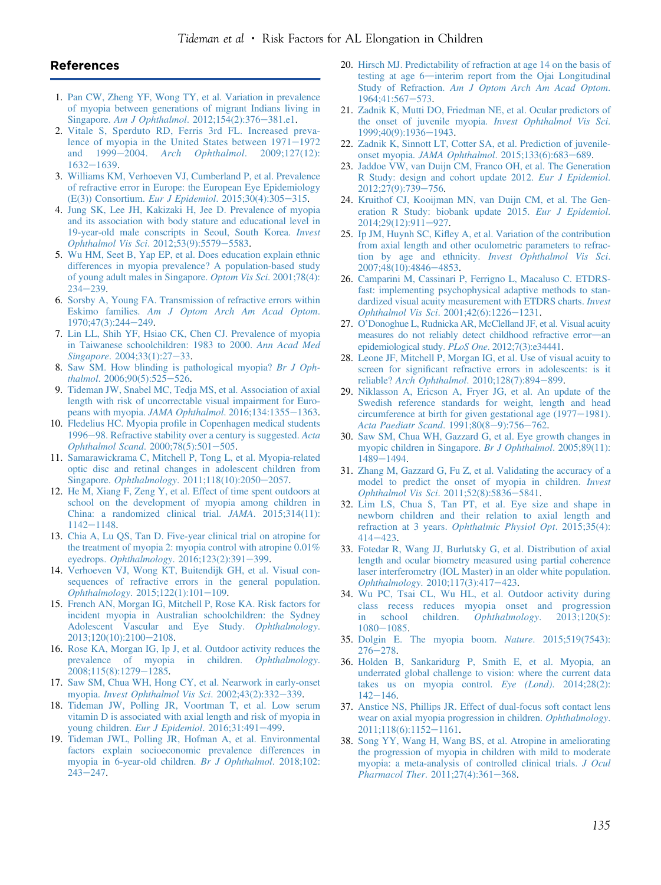### <span id="page-8-0"></span>References

- 1. [Pan CW, Zheng YF, Wong TY, et al. Variation in prevalence](http://refhub.elsevier.com/S0161-6420(17)33471-1/sref1) [of myopia between generations of migrant Indians living in](http://refhub.elsevier.com/S0161-6420(17)33471-1/sref1) Singapore. Am J Ophthalmol[. 2012;154\(2\):376](http://refhub.elsevier.com/S0161-6420(17)33471-1/sref1)-[381.e1](http://refhub.elsevier.com/S0161-6420(17)33471-1/sref1).
- 2. [Vitale S, Sperduto RD, Ferris](http://refhub.elsevier.com/S0161-6420(17)33471-1/sref2) 3rd FL. Increased preva[lence of myopia in the United States between 1971](http://refhub.elsevier.com/S0161-6420(17)33471-1/sref2)-[1972](http://refhub.elsevier.com/S0161-6420(17)33471-1/sref2) [and 1999](http://refhub.elsevier.com/S0161-6420(17)33471-1/sref2)-2004. [Arch Ophthalmol](http://refhub.elsevier.com/S0161-6420(17)33471-1/sref2). 2009;127(12):  $1632 - 1639.$  $1632 - 1639.$  $1632 - 1639.$
- 3. [Williams KM, Verhoeven VJ, Cumberland P, et al. Prevalence](http://refhub.elsevier.com/S0161-6420(17)33471-1/sref3) [of refractive error in Europe: the European Eye Epidemiology](http://refhub.elsevier.com/S0161-6420(17)33471-1/sref3) [\(E\(3\)\) Consortium.](http://refhub.elsevier.com/S0161-6420(17)33471-1/sref3) Eur J Epidemiol.  $2015;30(4):305-315$  $2015;30(4):305-315$ .
- 4. [Jung SK, Lee JH, Kakizaki H, Jee D. Prevalence of myopia](http://refhub.elsevier.com/S0161-6420(17)33471-1/sref4) [and its association with body stature and educational level in](http://refhub.elsevier.com/S0161-6420(17)33471-1/sref4) [19-year-old male conscripts in Seoul, South Korea.](http://refhub.elsevier.com/S0161-6420(17)33471-1/sref4) Invest [Ophthalmol Vis Sci](http://refhub.elsevier.com/S0161-6420(17)33471-1/sref4). 2012;53(9):5579-[5583](http://refhub.elsevier.com/S0161-6420(17)33471-1/sref4).
- 5. [Wu HM, Seet B, Yap EP, et al. Does education explain ethnic](http://refhub.elsevier.com/S0161-6420(17)33471-1/sref5) [differences in myopia prevalence? A population-based study](http://refhub.elsevier.com/S0161-6420(17)33471-1/sref5) [of young adult males in Singapore.](http://refhub.elsevier.com/S0161-6420(17)33471-1/sref5) Optom Vis Sci. 2001;78(4):  $234 - 239.$  $234 - 239.$  $234 - 239.$  $234 - 239.$
- 6. [Sorsby A, Young FA. Transmission of refractive errors within](http://refhub.elsevier.com/S0161-6420(17)33471-1/sref6) Eskimo families. [Am J Optom Arch Am Acad Optom](http://refhub.elsevier.com/S0161-6420(17)33471-1/sref6). [1970;47\(3\):244](http://refhub.elsevier.com/S0161-6420(17)33471-1/sref6)-[249](http://refhub.elsevier.com/S0161-6420(17)33471-1/sref6).
- 7. [Lin LL, Shih YF, Hsiao CK, Chen CJ. Prevalence of myopia](http://refhub.elsevier.com/S0161-6420(17)33471-1/sref7) [in Taiwanese schoolchildren: 1983 to 2000.](http://refhub.elsevier.com/S0161-6420(17)33471-1/sref7) Ann Acad Med Singapore[. 2004;33\(1\):27](http://refhub.elsevier.com/S0161-6420(17)33471-1/sref7)-[33](http://refhub.elsevier.com/S0161-6420(17)33471-1/sref7).
- 8. [Saw SM. How blinding is pathological myopia?](http://refhub.elsevier.com/S0161-6420(17)33471-1/sref8) Br J Oph-thalmol[. 2006;90\(5\):525](http://refhub.elsevier.com/S0161-6420(17)33471-1/sref8)-[526.](http://refhub.elsevier.com/S0161-6420(17)33471-1/sref8)
- 9. [Tideman JW, Snabel MC, Tedja MS, et al. Association of axial](http://refhub.elsevier.com/S0161-6420(17)33471-1/sref9) [length with risk of uncorrectable visual impairment for Euro](http://refhub.elsevier.com/S0161-6420(17)33471-1/sref9)[peans with myopia.](http://refhub.elsevier.com/S0161-6420(17)33471-1/sref9) JAMA Ophthalmol. 2016;134:1355-[1363](http://refhub.elsevier.com/S0161-6420(17)33471-1/sref9).
- 10. Fledelius HC. Myopia profi[le in Copenhagen medical students](http://refhub.elsevier.com/S0161-6420(17)33471-1/sref10) [1996](http://refhub.elsevier.com/S0161-6420(17)33471-1/sref10)-[98. Refractive stability over a century is suggested.](http://refhub.elsevier.com/S0161-6420(17)33471-1/sref10) Acta [Ophthalmol Scand](http://refhub.elsevier.com/S0161-6420(17)33471-1/sref10). 2000;78(5):501-[505](http://refhub.elsevier.com/S0161-6420(17)33471-1/sref10).
- 11. [Samarawickrama C, Mitchell P, Tong L, et al. Myopia-related](http://refhub.elsevier.com/S0161-6420(17)33471-1/sref11) [optic disc and retinal changes in adolescent children from](http://refhub.elsevier.com/S0161-6420(17)33471-1/sref11) Singapore. *Ophthalmology*[. 2011;118\(10\):2050](http://refhub.elsevier.com/S0161-6420(17)33471-1/sref11)-[2057](http://refhub.elsevier.com/S0161-6420(17)33471-1/sref11).
- 12. [He M, Xiang F, Zeng Y, et al. Effect of time spent outdoors at](http://refhub.elsevier.com/S0161-6420(17)33471-1/sref12) [school on the development of myopia among children in](http://refhub.elsevier.com/S0161-6420(17)33471-1/sref12) [China: a randomized clinical trial.](http://refhub.elsevier.com/S0161-6420(17)33471-1/sref12) JAMA. 2015;314(11):  $1142 - 1148.$  $1142 - 1148.$  $1142 - 1148.$
- 13. [Chia A, Lu QS, Tan D. Five-year clinical trial on atropine for](http://refhub.elsevier.com/S0161-6420(17)33471-1/sref13) [the treatment of myopia 2: myopia control with atropine 0.01%](http://refhub.elsevier.com/S0161-6420(17)33471-1/sref13) eyedrops. Ophthalmology[. 2016;123\(2\):391](http://refhub.elsevier.com/S0161-6420(17)33471-1/sref13)-[399](http://refhub.elsevier.com/S0161-6420(17)33471-1/sref13).
- 14. [Verhoeven VJ, Wong KT, Buitendijk GH, et al. Visual con](http://refhub.elsevier.com/S0161-6420(17)33471-1/sref14)[sequences of refractive errors in the general population.](http://refhub.elsevier.com/S0161-6420(17)33471-1/sref14)  $Ophthalmology. 2015;122(1):101-109.$  $Ophthalmology. 2015;122(1):101-109.$  $Ophthalmology. 2015;122(1):101-109.$  $Ophthalmology. 2015;122(1):101-109.$
- 15. [French AN, Morgan IG, Mitchell P, Rose KA. Risk factors for](http://refhub.elsevier.com/S0161-6420(17)33471-1/sref15) [incident myopia in Australian schoolchildren: the Sydney](http://refhub.elsevier.com/S0161-6420(17)33471-1/sref15) [Adolescent Vascular and Eye Study.](http://refhub.elsevier.com/S0161-6420(17)33471-1/sref15) Ophthalmology. [2013;120\(10\):2100](http://refhub.elsevier.com/S0161-6420(17)33471-1/sref15)-[2108](http://refhub.elsevier.com/S0161-6420(17)33471-1/sref15).
- 16. [Rose KA, Morgan IG, Ip J, et al. Outdoor activity reduces the](http://refhub.elsevier.com/S0161-6420(17)33471-1/sref16) [prevalence of myopia in children.](http://refhub.elsevier.com/S0161-6420(17)33471-1/sref16) Ophthalmology. [2008;115\(8\):1279](http://refhub.elsevier.com/S0161-6420(17)33471-1/sref16)-[1285.](http://refhub.elsevier.com/S0161-6420(17)33471-1/sref16)
- 17. [Saw SM, Chua WH, Hong CY, et al. Nearwork in early-onset](http://refhub.elsevier.com/S0161-6420(17)33471-1/sref17) myopia. [Invest Ophthalmol Vis Sci](http://refhub.elsevier.com/S0161-6420(17)33471-1/sref17). 2002;43(2):332-[339](http://refhub.elsevier.com/S0161-6420(17)33471-1/sref17).
- 18. [Tideman JW, Polling JR, Voortman T, et al. Low serum](http://refhub.elsevier.com/S0161-6420(17)33471-1/sref18) [vitamin D is associated with axial length and risk of myopia in](http://refhub.elsevier.com/S0161-6420(17)33471-1/sref18) young children. [Eur J Epidemiol](http://refhub.elsevier.com/S0161-6420(17)33471-1/sref18).  $2016;31:491-499$ .
- 19. [Tideman JWL, Polling JR, Hofman A, et al. Environmental](http://refhub.elsevier.com/S0161-6420(17)33471-1/sref19) [factors explain socioeconomic prevalence differences in](http://refhub.elsevier.com/S0161-6420(17)33471-1/sref19) [myopia in 6-year-old children.](http://refhub.elsevier.com/S0161-6420(17)33471-1/sref19) Br J Ophthalmol. 2018;102:  $243 - 247.$  $243 - 247.$  $243 - 247.$
- 20. [Hirsch MJ. Predictability of refraction at age 14 on the basis of](http://refhub.elsevier.com/S0161-6420(17)33471-1/sref20) testing at age  $6$ —[interim report from the Ojai Longitudinal](http://refhub.elsevier.com/S0161-6420(17)33471-1/sref20) Study of Refraction. [Am J Optom Arch Am Acad Optom](http://refhub.elsevier.com/S0161-6420(17)33471-1/sref20). [1964;41:567](http://refhub.elsevier.com/S0161-6420(17)33471-1/sref20)-[573](http://refhub.elsevier.com/S0161-6420(17)33471-1/sref20).
- 21. [Zadnik K, Mutti DO, Friedman NE, et al. Ocular predictors of](http://refhub.elsevier.com/S0161-6420(17)33471-1/sref21) [the onset of juvenile myopia.](http://refhub.elsevier.com/S0161-6420(17)33471-1/sref21) Invest Ophthalmol Vis Sci. [1999;40\(9\):1936](http://refhub.elsevier.com/S0161-6420(17)33471-1/sref21)-[1943.](http://refhub.elsevier.com/S0161-6420(17)33471-1/sref21)
- 22. [Zadnik K, Sinnott LT, Cotter SA, et al. Prediction of juvenile-](http://refhub.elsevier.com/S0161-6420(17)33471-1/sref22)onset myopia. [JAMA Ophthalmol](http://refhub.elsevier.com/S0161-6420(17)33471-1/sref22). 2015;133(6):683–[689.](http://refhub.elsevier.com/S0161-6420(17)33471-1/sref22)
- 23. [Jaddoe VW, van Duijn CM, Franco OH, et al. The Generation](http://refhub.elsevier.com/S0161-6420(17)33471-1/sref23) [R Study: design and cohort update 2012.](http://refhub.elsevier.com/S0161-6420(17)33471-1/sref23) Eur J Epidemiol. [2012;27\(9\):739](http://refhub.elsevier.com/S0161-6420(17)33471-1/sref23)-[756.](http://refhub.elsevier.com/S0161-6420(17)33471-1/sref23)
- 24. [Kruithof CJ, Kooijman MN, van Duijn CM, et al. The Gen](http://refhub.elsevier.com/S0161-6420(17)33471-1/sref24)[eration R Study: biobank update 2015.](http://refhub.elsevier.com/S0161-6420(17)33471-1/sref24) Eur J Epidemiol. [2014;29\(12\):911](http://refhub.elsevier.com/S0161-6420(17)33471-1/sref24)-[927](http://refhub.elsevier.com/S0161-6420(17)33471-1/sref24).
- 25. Ip JM, Huynh SC, Kifl[ey A, et al. Variation of the contribution](http://refhub.elsevier.com/S0161-6420(17)33471-1/sref25) [from axial length and other oculometric parameters to refrac](http://refhub.elsevier.com/S0161-6420(17)33471-1/sref25)[tion by age and ethnicity.](http://refhub.elsevier.com/S0161-6420(17)33471-1/sref25) Invest Ophthalmol Vis Sci. [2007;48\(10\):4846](http://refhub.elsevier.com/S0161-6420(17)33471-1/sref25)-[4853](http://refhub.elsevier.com/S0161-6420(17)33471-1/sref25).
- 26. [Camparini M, Cassinari P, Ferrigno L, Macaluso C. ETDRS](http://refhub.elsevier.com/S0161-6420(17)33471-1/sref26)[fast: implementing psychophysical adaptive methods to stan](http://refhub.elsevier.com/S0161-6420(17)33471-1/sref26)[dardized visual acuity measurement with ETDRS charts.](http://refhub.elsevier.com/S0161-6420(17)33471-1/sref26) Invest [Ophthalmol Vis Sci](http://refhub.elsevier.com/S0161-6420(17)33471-1/sref26). 2001;42(6):1226-[1231](http://refhub.elsevier.com/S0161-6420(17)33471-1/sref26).
- 27. O'[Donoghue L, Rudnicka AR, McClelland JF, et al. Visual acuity](http://refhub.elsevier.com/S0161-6420(17)33471-1/sref27) [measures do not reliably detect childhood refractive error](http://refhub.elsevier.com/S0161-6420(17)33471-1/sref27)-[an](http://refhub.elsevier.com/S0161-6420(17)33471-1/sref27) [epidemiological study.](http://refhub.elsevier.com/S0161-6420(17)33471-1/sref27) PLoS One. 2012;7(3):e34441.
- 28. [Leone JF, Mitchell P, Morgan IG, et al. Use of visual acuity to](http://refhub.elsevier.com/S0161-6420(17)33471-1/sref28) screen for signifi[cant refractive errors in adolescents: is it](http://refhub.elsevier.com/S0161-6420(17)33471-1/sref28) reliable? Arch Ophthalmol[. 2010;128\(7\):894](http://refhub.elsevier.com/S0161-6420(17)33471-1/sref28)-[899](http://refhub.elsevier.com/S0161-6420(17)33471-1/sref28).
- 29. [Niklasson A, Ericson A, Fryer JG, et al. An update of the](http://refhub.elsevier.com/S0161-6420(17)33471-1/sref29) [Swedish reference standards for weight, length and head](http://refhub.elsevier.com/S0161-6420(17)33471-1/sref29) circumference at birth for given gestational age  $(1977-1981)$ . [Acta Paediatr Scand](http://refhub.elsevier.com/S0161-6420(17)33471-1/sref29). 1991;80(8-[9\):756](http://refhub.elsevier.com/S0161-6420(17)33471-1/sref29)-[762](http://refhub.elsevier.com/S0161-6420(17)33471-1/sref29).
- 30. [Saw SM, Chua WH, Gazzard G, et al. Eye growth changes in](http://refhub.elsevier.com/S0161-6420(17)33471-1/sref30) [myopic children in Singapore.](http://refhub.elsevier.com/S0161-6420(17)33471-1/sref30) Br J Ophthalmol. 2005;89(11): [1489](http://refhub.elsevier.com/S0161-6420(17)33471-1/sref30)-[1494.](http://refhub.elsevier.com/S0161-6420(17)33471-1/sref30)
- 31. [Zhang M, Gazzard G, Fu Z, et al. Validating the accuracy of a](http://refhub.elsevier.com/S0161-6420(17)33471-1/sref31) [model to predict the onset of myopia in children.](http://refhub.elsevier.com/S0161-6420(17)33471-1/sref31) Invest [Ophthalmol Vis Sci](http://refhub.elsevier.com/S0161-6420(17)33471-1/sref31). 2011;52(8):5836-[5841](http://refhub.elsevier.com/S0161-6420(17)33471-1/sref31).
- 32. [Lim LS, Chua S, Tan PT, et al. Eye size and shape in](http://refhub.elsevier.com/S0161-6420(17)33471-1/sref32) [newborn children and their relation to axial length and](http://refhub.elsevier.com/S0161-6420(17)33471-1/sref32) refraction at 3 years. [Ophthalmic Physiol Opt](http://refhub.elsevier.com/S0161-6420(17)33471-1/sref32). 2015;35(4): [414](http://refhub.elsevier.com/S0161-6420(17)33471-1/sref32)e[423](http://refhub.elsevier.com/S0161-6420(17)33471-1/sref32).
- 33. [Fotedar R, Wang JJ, Burlutsky G, et al. Distribution of axial](http://refhub.elsevier.com/S0161-6420(17)33471-1/sref33) [length and ocular biometry measured using partial coherence](http://refhub.elsevier.com/S0161-6420(17)33471-1/sref33) [laser interferometry \(IOL Master\) in an older white population.](http://refhub.elsevier.com/S0161-6420(17)33471-1/sref33) Ophthalmology[. 2010;117\(3\):417](http://refhub.elsevier.com/S0161-6420(17)33471-1/sref33)-[423.](http://refhub.elsevier.com/S0161-6420(17)33471-1/sref33)
- 34. [Wu PC, Tsai CL, Wu HL, et al. Outdoor activity during](http://refhub.elsevier.com/S0161-6420(17)33471-1/sref34) [class recess reduces myopia onset and progression](http://refhub.elsevier.com/S0161-6420(17)33471-1/sref34)<br>in school children. *Ophthalmology*. 2013;120(5): [in school children.](http://refhub.elsevier.com/S0161-6420(17)33471-1/sref34) Ophthalmology.  $1080 - 1085$  $1080 - 1085$ .
- 35. [Dolgin E. The myopia boom.](http://refhub.elsevier.com/S0161-6420(17)33471-1/sref35) Nature. 2015;519(7543):  $276 - 278.$  $276 - 278.$  $276 - 278.$
- 36. [Holden B, Sankaridurg P, Smith E, et al. Myopia, an](http://refhub.elsevier.com/S0161-6420(17)33471-1/sref36) [underrated global challenge to vision: where the current data](http://refhub.elsevier.com/S0161-6420(17)33471-1/sref36) [takes us on myopia control.](http://refhub.elsevier.com/S0161-6420(17)33471-1/sref36) Eye (Lond). 2014;28(2):  $142 - 146.$  $142 - 146.$  $142 - 146.$
- 37. [Anstice NS, Phillips JR. Effect of dual-focus soft contact lens](http://refhub.elsevier.com/S0161-6420(17)33471-1/sref37) [wear on axial myopia progression in children.](http://refhub.elsevier.com/S0161-6420(17)33471-1/sref37) Ophthalmology. [2011;118\(6\):1152](http://refhub.elsevier.com/S0161-6420(17)33471-1/sref37)-[1161](http://refhub.elsevier.com/S0161-6420(17)33471-1/sref37).
- 38. [Song YY, Wang H, Wang BS, et al. Atropine in ameliorating](http://refhub.elsevier.com/S0161-6420(17)33471-1/sref38) [the progression of myopia in children with mild to moderate](http://refhub.elsevier.com/S0161-6420(17)33471-1/sref38) [myopia: a meta-analysis of controlled clinical trials.](http://refhub.elsevier.com/S0161-6420(17)33471-1/sref38) J Ocul Pharmacol Ther.  $2011;27(4):361-368$  $2011;27(4):361-368$ .